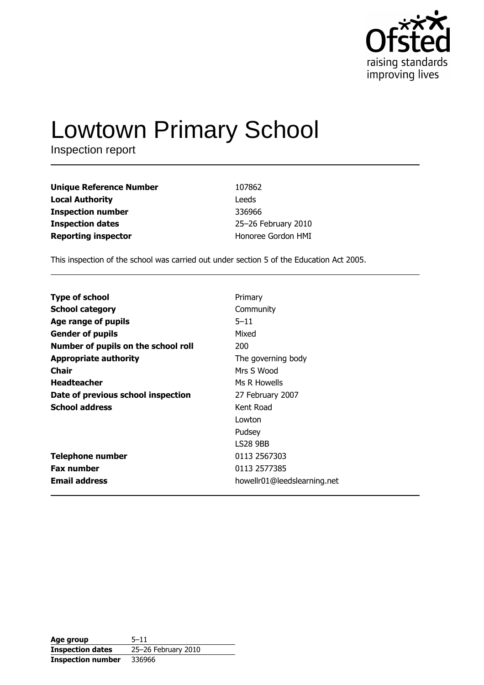

# **Lowtown Primary School**

Inspection report

| <b>Unique Reference Number</b> | 107862              |
|--------------------------------|---------------------|
| <b>Local Authority</b>         | Leeds               |
| <b>Inspection number</b>       | 336966              |
| <b>Inspection dates</b>        | 25-26 February 2010 |
| <b>Reporting inspector</b>     | Honoree Gordon HMI  |

This inspection of the school was carried out under section 5 of the Education Act 2005.

| <b>Type of school</b>               | Primary                     |
|-------------------------------------|-----------------------------|
|                                     |                             |
| <b>School category</b>              | Community                   |
| Age range of pupils                 | $5 - 11$                    |
| <b>Gender of pupils</b>             | Mixed                       |
| Number of pupils on the school roll | 200                         |
| <b>Appropriate authority</b>        | The governing body          |
| Chair                               | Mrs S Wood                  |
| <b>Headteacher</b>                  | Ms R Howells                |
| Date of previous school inspection  | 27 February 2007            |
| <b>School address</b>               | Kent Road                   |
|                                     | Lowton                      |
|                                     | Pudsey                      |
|                                     | <b>LS28 9BB</b>             |
| <b>Telephone number</b>             | 0113 2567303                |
| <b>Fax number</b>                   | 0113 2577385                |
| <b>Email address</b>                | howellr01@leedslearning.net |

| Age group                | $5 - 11$            |
|--------------------------|---------------------|
| <b>Inspection dates</b>  | 25-26 February 2010 |
| <b>Inspection number</b> | 336966              |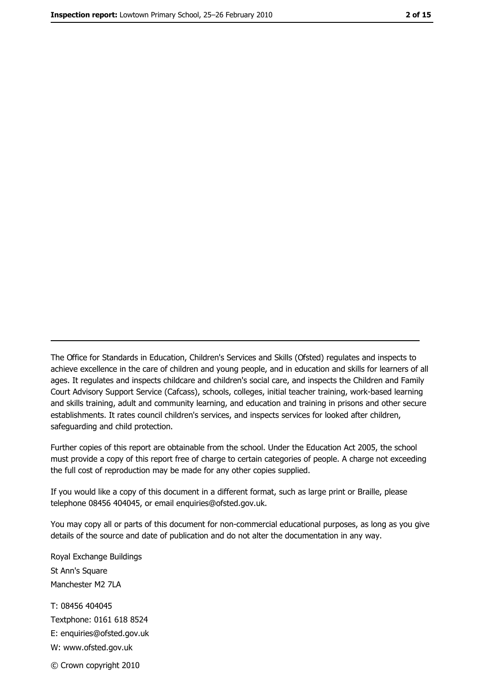The Office for Standards in Education, Children's Services and Skills (Ofsted) regulates and inspects to achieve excellence in the care of children and young people, and in education and skills for learners of all ages. It regulates and inspects childcare and children's social care, and inspects the Children and Family Court Advisory Support Service (Cafcass), schools, colleges, initial teacher training, work-based learning and skills training, adult and community learning, and education and training in prisons and other secure establishments. It rates council children's services, and inspects services for looked after children, safequarding and child protection.

Further copies of this report are obtainable from the school. Under the Education Act 2005, the school must provide a copy of this report free of charge to certain categories of people. A charge not exceeding the full cost of reproduction may be made for any other copies supplied.

If you would like a copy of this document in a different format, such as large print or Braille, please telephone 08456 404045, or email enquiries@ofsted.gov.uk.

You may copy all or parts of this document for non-commercial educational purposes, as long as you give details of the source and date of publication and do not alter the documentation in any way.

Royal Exchange Buildings St Ann's Square Manchester M2 7LA T: 08456 404045 Textphone: 0161 618 8524 E: enquiries@ofsted.gov.uk W: www.ofsted.gov.uk © Crown copyright 2010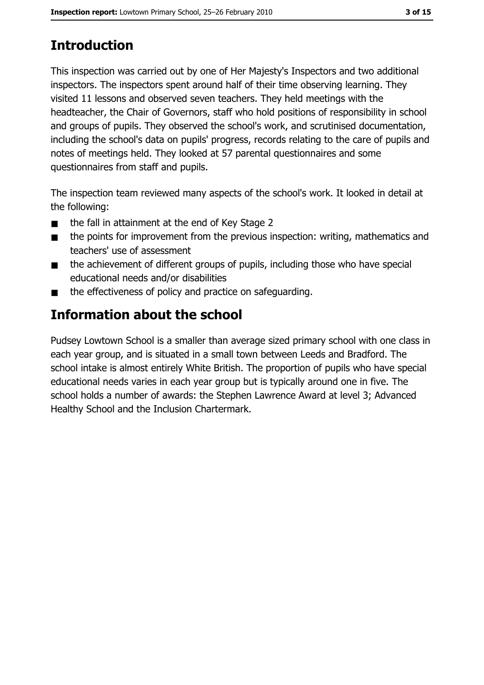# **Introduction**

This inspection was carried out by one of Her Majesty's Inspectors and two additional inspectors. The inspectors spent around half of their time observing learning. They visited 11 lessons and observed seven teachers. They held meetings with the headteacher, the Chair of Governors, staff who hold positions of responsibility in school and groups of pupils. They observed the school's work, and scrutinised documentation, including the school's data on pupils' progress, records relating to the care of pupils and notes of meetings held. They looked at 57 parental questionnaires and some questionnaires from staff and pupils.

The inspection team reviewed many aspects of the school's work. It looked in detail at the following:

- the fall in attainment at the end of Key Stage 2  $\blacksquare$
- the points for improvement from the previous inspection: writing, mathematics and  $\blacksquare$ teachers' use of assessment
- the achievement of different groups of pupils, including those who have special  $\blacksquare$ educational needs and/or disabilities
- the effectiveness of policy and practice on safeguarding.  $\blacksquare$

# Information about the school

Pudsey Lowtown School is a smaller than average sized primary school with one class in each year group, and is situated in a small town between Leeds and Bradford. The school intake is almost entirely White British. The proportion of pupils who have special educational needs varies in each year group but is typically around one in five. The school holds a number of awards: the Stephen Lawrence Award at level 3; Advanced Healthy School and the Inclusion Chartermark.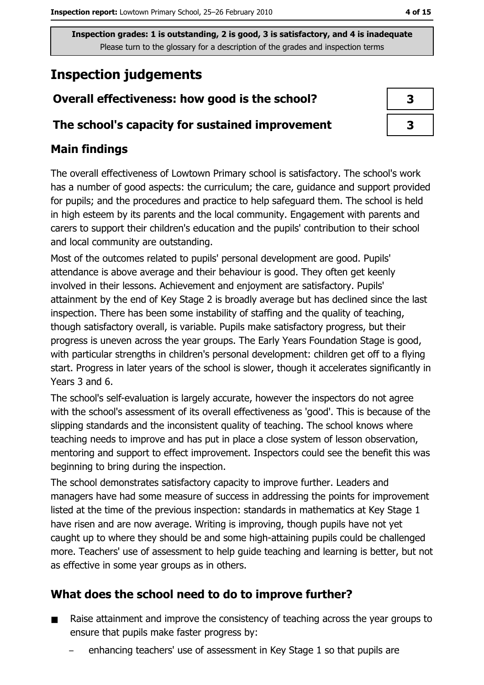# **Inspection judgements**

# Overall effectiveness: how good is the school?

## The school's capacity for sustained improvement

# **Main findings**

The overall effectiveness of Lowtown Primary school is satisfactory. The school's work has a number of good aspects: the curriculum; the care, guidance and support provided for pupils; and the procedures and practice to help safeguard them. The school is held in high esteem by its parents and the local community. Engagement with parents and carers to support their children's education and the pupils' contribution to their school and local community are outstanding.

Most of the outcomes related to pupils' personal development are good. Pupils' attendance is above average and their behaviour is good. They often get keenly involved in their lessons. Achievement and enjoyment are satisfactory. Pupils' attainment by the end of Key Stage 2 is broadly average but has declined since the last inspection. There has been some instability of staffing and the quality of teaching, though satisfactory overall, is variable. Pupils make satisfactory progress, but their progress is uneven across the year groups. The Early Years Foundation Stage is good, with particular strengths in children's personal development: children get off to a flying start. Progress in later years of the school is slower, though it accelerates significantly in Years 3 and 6.

The school's self-evaluation is largely accurate, however the inspectors do not agree with the school's assessment of its overall effectiveness as 'good'. This is because of the slipping standards and the inconsistent quality of teaching. The school knows where teaching needs to improve and has put in place a close system of lesson observation, mentoring and support to effect improvement. Inspectors could see the benefit this was beginning to bring during the inspection.

The school demonstrates satisfactory capacity to improve further. Leaders and managers have had some measure of success in addressing the points for improvement listed at the time of the previous inspection: standards in mathematics at Key Stage 1 have risen and are now average. Writing is improving, though pupils have not yet caught up to where they should be and some high-attaining pupils could be challenged more. Teachers' use of assessment to help quide teaching and learning is better, but not as effective in some year groups as in others.

# What does the school need to do to improve further?

- Raise attainment and improve the consistency of teaching across the year groups to  $\blacksquare$ ensure that pupils make faster progress by:
	- enhancing teachers' use of assessment in Key Stage 1 so that pupils are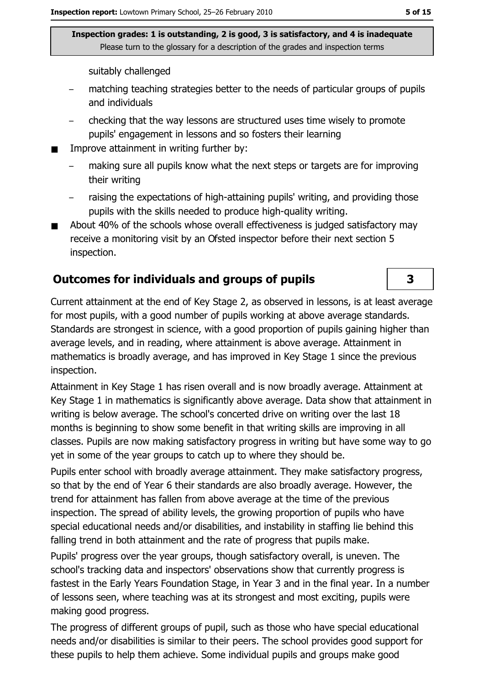suitably challenged

- matching teaching strategies better to the needs of particular groups of pupils and individuals
- checking that the way lessons are structured uses time wisely to promote pupils' engagement in lessons and so fosters their learning
- Improve attainment in writing further by:
	- making sure all pupils know what the next steps or targets are for improving their writing
	- raising the expectations of high-attaining pupils' writing, and providing those pupils with the skills needed to produce high-quality writing.
- About 40% of the schools whose overall effectiveness is judged satisfactory may  $\blacksquare$ receive a monitoring visit by an Ofsted inspector before their next section 5 inspection.

## **Outcomes for individuals and groups of pupils**

Current attainment at the end of Key Stage 2, as observed in lessons, is at least average for most pupils, with a good number of pupils working at above average standards. Standards are strongest in science, with a good proportion of pupils gaining higher than average levels, and in reading, where attainment is above average. Attainment in mathematics is broadly average, and has improved in Key Stage 1 since the previous inspection.

Attainment in Key Stage 1 has risen overall and is now broadly average. Attainment at Key Stage 1 in mathematics is significantly above average. Data show that attainment in writing is below average. The school's concerted drive on writing over the last 18 months is beginning to show some benefit in that writing skills are improving in all classes. Pupils are now making satisfactory progress in writing but have some way to go yet in some of the year groups to catch up to where they should be.

Pupils enter school with broadly average attainment. They make satisfactory progress, so that by the end of Year 6 their standards are also broadly average. However, the trend for attainment has fallen from above average at the time of the previous inspection. The spread of ability levels, the growing proportion of pupils who have special educational needs and/or disabilities, and instability in staffing lie behind this falling trend in both attainment and the rate of progress that pupils make.

Pupils' progress over the year groups, though satisfactory overall, is uneven. The school's tracking data and inspectors' observations show that currently progress is fastest in the Early Years Foundation Stage, in Year 3 and in the final year. In a number of lessons seen, where teaching was at its strongest and most exciting, pupils were making good progress.

The progress of different groups of pupil, such as those who have special educational needs and/or disabilities is similar to their peers. The school provides good support for these pupils to help them achieve. Some individual pupils and groups make good

3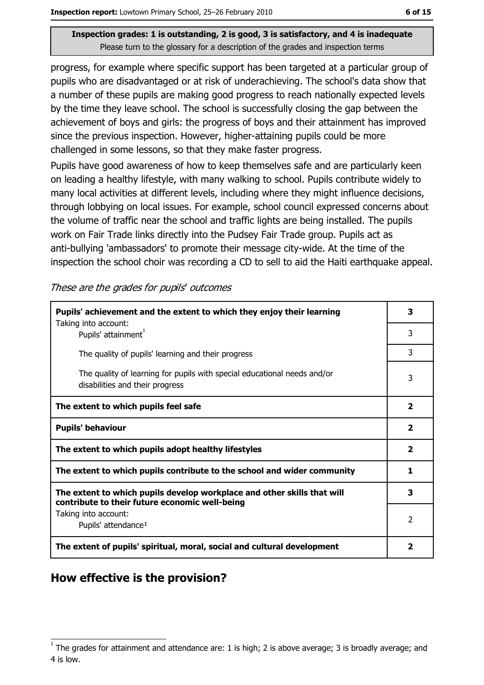progress, for example where specific support has been targeted at a particular group of pupils who are disadvantaged or at risk of underachieving. The school's data show that a number of these pupils are making good progress to reach nationally expected levels by the time they leave school. The school is successfully closing the gap between the achievement of boys and girls: the progress of boys and their attainment has improved since the previous inspection. However, higher-attaining pupils could be more challenged in some lessons, so that they make faster progress.

Pupils have good awareness of how to keep themselves safe and are particularly keen on leading a healthy lifestyle, with many walking to school. Pupils contribute widely to many local activities at different levels, including where they might influence decisions, through lobbying on local issues. For example, school council expressed concerns about the volume of traffic near the school and traffic lights are being installed. The pupils work on Fair Trade links directly into the Pudsey Fair Trade group. Pupils act as anti-bullying 'ambassadors' to promote their message city-wide. At the time of the inspection the school choir was recording a CD to sell to aid the Haiti earthquake appeal.

These are the grades for pupils' outcomes

| Pupils' achievement and the extent to which they enjoy their learning                                                     |   |
|---------------------------------------------------------------------------------------------------------------------------|---|
| Taking into account:<br>Pupils' attainment <sup>1</sup>                                                                   | 3 |
| The quality of pupils' learning and their progress                                                                        | 3 |
| The quality of learning for pupils with special educational needs and/or<br>disabilities and their progress               | 3 |
| The extent to which pupils feel safe                                                                                      |   |
| <b>Pupils' behaviour</b>                                                                                                  |   |
| The extent to which pupils adopt healthy lifestyles                                                                       |   |
| The extent to which pupils contribute to the school and wider community                                                   |   |
| The extent to which pupils develop workplace and other skills that will<br>contribute to their future economic well-being |   |
| Taking into account:<br>Pupils' attendance <sup>1</sup>                                                                   |   |
| The extent of pupils' spiritual, moral, social and cultural development                                                   |   |

## How effective is the provision?

The grades for attainment and attendance are: 1 is high; 2 is above average; 3 is broadly average; and 4 is low.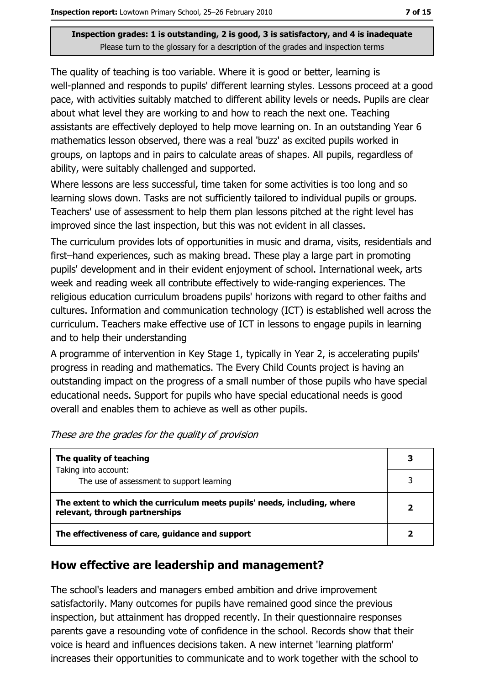The quality of teaching is too variable. Where it is good or better, learning is well-planned and responds to pupils' different learning styles. Lessons proceed at a good pace, with activities suitably matched to different ability levels or needs. Pupils are clear about what level they are working to and how to reach the next one. Teaching assistants are effectively deployed to help move learning on. In an outstanding Year 6 mathematics lesson observed, there was a real 'buzz' as excited pupils worked in groups, on laptops and in pairs to calculate areas of shapes. All pupils, regardless of ability, were suitably challenged and supported.

Where lessons are less successful, time taken for some activities is too long and so learning slows down. Tasks are not sufficiently tailored to individual pupils or groups. Teachers' use of assessment to help them plan lessons pitched at the right level has improved since the last inspection, but this was not evident in all classes.

The curriculum provides lots of opportunities in music and drama, visits, residentials and first-hand experiences, such as making bread. These play a large part in promoting pupils' development and in their evident enjoyment of school. International week, arts week and reading week all contribute effectively to wide-ranging experiences. The religious education curriculum broadens pupils' horizons with regard to other faiths and cultures. Information and communication technology (ICT) is established well across the curriculum. Teachers make effective use of ICT in lessons to engage pupils in learning and to help their understanding

A programme of intervention in Key Stage 1, typically in Year 2, is accelerating pupils' progress in reading and mathematics. The Every Child Counts project is having an outstanding impact on the progress of a small number of those pupils who have special educational needs. Support for pupils who have special educational needs is good overall and enables them to achieve as well as other pupils.

| The quality of teaching                                                                                    | 3 |
|------------------------------------------------------------------------------------------------------------|---|
| Taking into account:<br>The use of assessment to support learning                                          |   |
| The extent to which the curriculum meets pupils' needs, including, where<br>relevant, through partnerships |   |
| The effectiveness of care, guidance and support                                                            |   |

These are the grades for the quality of provision

## How effective are leadership and management?

The school's leaders and managers embed ambition and drive improvement satisfactorily. Many outcomes for pupils have remained good since the previous inspection, but attainment has dropped recently. In their questionnaire responses parents gave a resounding vote of confidence in the school. Records show that their voice is heard and influences decisions taken. A new internet 'learning platform' increases their opportunities to communicate and to work together with the school to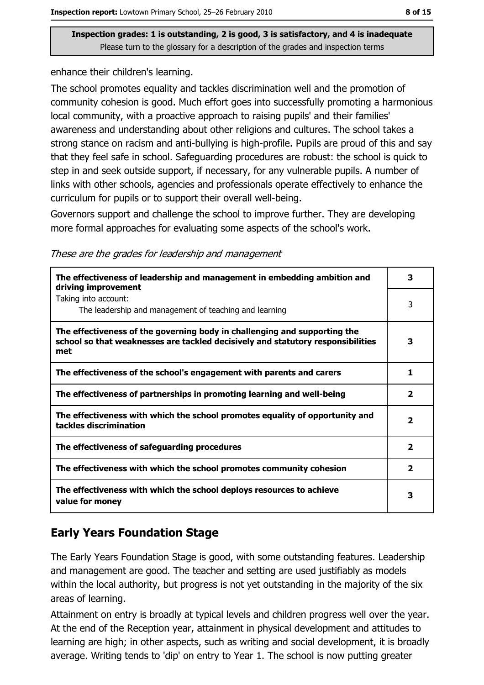enhance their children's learning.

The school promotes equality and tackles discrimination well and the promotion of community cohesion is good. Much effort goes into successfully promoting a harmonious local community, with a proactive approach to raising pupils' and their families' awareness and understanding about other religions and cultures. The school takes a strong stance on racism and anti-bullying is high-profile. Pupils are proud of this and say that they feel safe in school. Safeguarding procedures are robust: the school is quick to step in and seek outside support, if necessary, for any vulnerable pupils. A number of links with other schools, agencies and professionals operate effectively to enhance the curriculum for pupils or to support their overall well-being.

Governors support and challenge the school to improve further. They are developing more formal approaches for evaluating some aspects of the school's work.

| These are the grades for leadership and management |  |  |
|----------------------------------------------------|--|--|
|                                                    |  |  |

| The effectiveness of leadership and management in embedding ambition and<br>driving improvement                                                                     | 3                       |
|---------------------------------------------------------------------------------------------------------------------------------------------------------------------|-------------------------|
| Taking into account:<br>The leadership and management of teaching and learning                                                                                      | 3                       |
| The effectiveness of the governing body in challenging and supporting the<br>school so that weaknesses are tackled decisively and statutory responsibilities<br>met | з                       |
| The effectiveness of the school's engagement with parents and carers                                                                                                | 1                       |
| The effectiveness of partnerships in promoting learning and well-being                                                                                              | $\overline{\mathbf{2}}$ |
| The effectiveness with which the school promotes equality of opportunity and<br>tackles discrimination                                                              | $\overline{\mathbf{2}}$ |
| The effectiveness of safeguarding procedures                                                                                                                        | $\overline{\mathbf{2}}$ |
| The effectiveness with which the school promotes community cohesion                                                                                                 | $\overline{2}$          |
| The effectiveness with which the school deploys resources to achieve<br>value for money                                                                             |                         |

# **Early Years Foundation Stage**

The Early Years Foundation Stage is good, with some outstanding features. Leadership and management are good. The teacher and setting are used justifiably as models within the local authority, but progress is not yet outstanding in the majority of the six areas of learning.

Attainment on entry is broadly at typical levels and children progress well over the year. At the end of the Reception year, attainment in physical development and attitudes to learning are high; in other aspects, such as writing and social development, it is broadly average. Writing tends to 'dip' on entry to Year 1. The school is now putting greater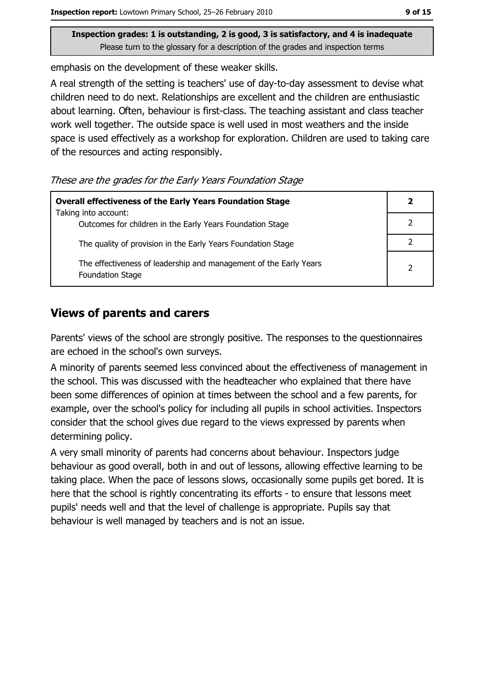emphasis on the development of these weaker skills.

A real strength of the setting is teachers' use of day-to-day assessment to devise what children need to do next. Relationships are excellent and the children are enthusiastic about learning. Often, behaviour is first-class. The teaching assistant and class teacher work well together. The outside space is well used in most weathers and the inside space is used effectively as a workshop for exploration. Children are used to taking care of the resources and acting responsibly.

These are the grades for the Early Years Foundation Stage

| <b>Overall effectiveness of the Early Years Foundation Stage</b>                      |  |
|---------------------------------------------------------------------------------------|--|
| Taking into account:<br>Outcomes for children in the Early Years Foundation Stage     |  |
| The quality of provision in the Early Years Foundation Stage                          |  |
| The effectiveness of leadership and management of the Early Years<br>Foundation Stage |  |

# **Views of parents and carers**

Parents' views of the school are strongly positive. The responses to the questionnaires are echoed in the school's own surveys.

A minority of parents seemed less convinced about the effectiveness of management in the school. This was discussed with the headteacher who explained that there have been some differences of opinion at times between the school and a few parents, for example, over the school's policy for including all pupils in school activities. Inspectors consider that the school gives due regard to the views expressed by parents when determining policy.

A very small minority of parents had concerns about behaviour. Inspectors judge behaviour as good overall, both in and out of lessons, allowing effective learning to be taking place. When the pace of lessons slows, occasionally some pupils get bored. It is here that the school is rightly concentrating its efforts - to ensure that lessons meet pupils' needs well and that the level of challenge is appropriate. Pupils say that behaviour is well managed by teachers and is not an issue.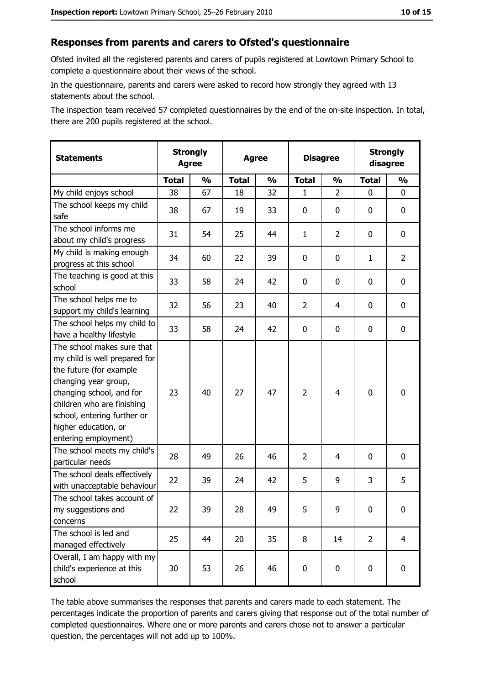#### Responses from parents and carers to Ofsted's questionnaire

Ofsted invited all the registered parents and carers of pupils registered at Lowtown Primary School to complete a questionnaire about their views of the school.

In the questionnaire, parents and carers were asked to record how strongly they agreed with 13 statements about the school.

The inspection team received 57 completed questionnaires by the end of the on-site inspection. In total, there are 200 pupils registered at the school.

| <b>Statements</b>                                                                                                                                                                                                                                       | <b>Strongly</b><br><b>Agree</b> |               | <b>Agree</b> |               | <b>Disagree</b> |                | <b>Strongly</b><br>disagree |                |
|---------------------------------------------------------------------------------------------------------------------------------------------------------------------------------------------------------------------------------------------------------|---------------------------------|---------------|--------------|---------------|-----------------|----------------|-----------------------------|----------------|
|                                                                                                                                                                                                                                                         | <b>Total</b>                    | $\frac{1}{2}$ | <b>Total</b> | $\frac{1}{2}$ | <b>Total</b>    | $\frac{1}{2}$  | <b>Total</b>                | $\frac{1}{2}$  |
| My child enjoys school                                                                                                                                                                                                                                  | 38                              | 67            | 18           | 32            | 1               | $\overline{2}$ | $\Omega$                    | 0              |
| The school keeps my child<br>safe                                                                                                                                                                                                                       | 38                              | 67            | 19           | 33            | 0               | 0              | 0                           | 0              |
| The school informs me<br>about my child's progress                                                                                                                                                                                                      | 31                              | 54            | 25           | 44            | $\mathbf{1}$    | $\overline{2}$ | 0                           | 0              |
| My child is making enough<br>progress at this school                                                                                                                                                                                                    | 34                              | 60            | 22           | 39            | 0               | 0              | 1                           | $\overline{2}$ |
| The teaching is good at this<br>school                                                                                                                                                                                                                  | 33                              | 58            | 24           | 42            | 0               | 0              | 0                           | 0              |
| The school helps me to<br>support my child's learning                                                                                                                                                                                                   | 32                              | 56            | 23           | 40            | $\overline{2}$  | 4              | 0                           | 0              |
| The school helps my child to<br>have a healthy lifestyle                                                                                                                                                                                                | 33                              | 58            | 24           | 42            | $\mathbf 0$     | 0              | 0                           | $\mathbf 0$    |
| The school makes sure that<br>my child is well prepared for<br>the future (for example<br>changing year group,<br>changing school, and for<br>children who are finishing<br>school, entering further or<br>higher education, or<br>entering employment) | 23                              | 40            | 27           | 47            | $\overline{2}$  | 4              | $\mathbf 0$                 | $\mathbf 0$    |
| The school meets my child's<br>particular needs                                                                                                                                                                                                         | 28                              | 49            | 26           | 46            | $\overline{2}$  | 4              | 0                           | 0              |
| The school deals effectively<br>with unacceptable behaviour                                                                                                                                                                                             | 22                              | 39            | 24           | 42            | 5               | 9              | 3                           | 5              |
| The school takes account of<br>my suggestions and<br>concerns                                                                                                                                                                                           | 22                              | 39            | 28           | 49            | 5               | 9              | 0                           | 0              |
| The school is led and<br>managed effectively                                                                                                                                                                                                            | 25                              | 44            | 20           | 35            | 8               | 14             | $\overline{2}$              | $\overline{4}$ |
| Overall, I am happy with my<br>child's experience at this<br>school                                                                                                                                                                                     | 30                              | 53            | 26           | 46            | $\mathbf 0$     | 0              | $\mathbf 0$                 | $\mathbf 0$    |

The table above summarises the responses that parents and carers made to each statement. The percentages indicate the proportion of parents and carers giving that response out of the total number of completed questionnaires. Where one or more parents and carers chose not to answer a particular question, the percentages will not add up to 100%.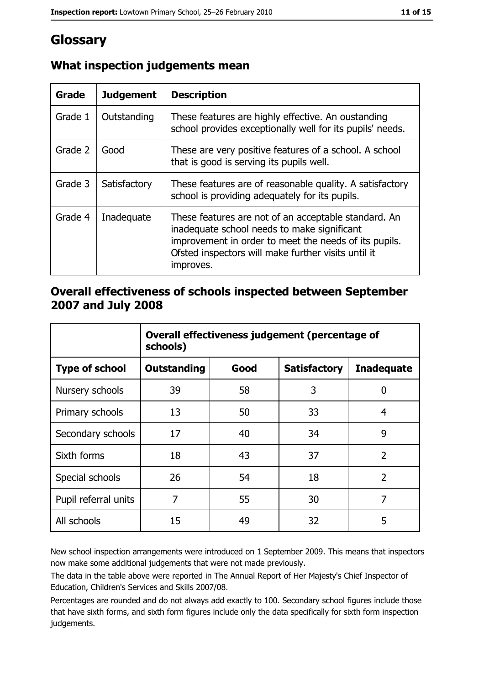# Glossary

| Grade   | <b>Judgement</b> | <b>Description</b>                                                                                                                                                                                                               |  |
|---------|------------------|----------------------------------------------------------------------------------------------------------------------------------------------------------------------------------------------------------------------------------|--|
| Grade 1 | Outstanding      | These features are highly effective. An oustanding<br>school provides exceptionally well for its pupils' needs.                                                                                                                  |  |
| Grade 2 | Good             | These are very positive features of a school. A school<br>that is good is serving its pupils well.                                                                                                                               |  |
| Grade 3 | Satisfactory     | These features are of reasonable quality. A satisfactory<br>school is providing adequately for its pupils.                                                                                                                       |  |
| Grade 4 | Inadequate       | These features are not of an acceptable standard. An<br>inadequate school needs to make significant<br>improvement in order to meet the needs of its pupils.<br>Ofsted inspectors will make further visits until it<br>improves. |  |

# What inspection judgements mean

## Overall effectiveness of schools inspected between September 2007 and July 2008

|                       | Overall effectiveness judgement (percentage of<br>schools) |      |                     |                   |
|-----------------------|------------------------------------------------------------|------|---------------------|-------------------|
| <b>Type of school</b> | <b>Outstanding</b>                                         | Good | <b>Satisfactory</b> | <b>Inadequate</b> |
| Nursery schools       | 39                                                         | 58   | 3                   | 0                 |
| Primary schools       | 13                                                         | 50   | 33                  | 4                 |
| Secondary schools     | 17                                                         | 40   | 34                  | 9                 |
| Sixth forms           | 18                                                         | 43   | 37                  | $\overline{2}$    |
| Special schools       | 26                                                         | 54   | 18                  | $\overline{2}$    |
| Pupil referral units  | 7                                                          | 55   | 30                  | 7                 |
| All schools           | 15                                                         | 49   | 32                  | 5                 |

New school inspection arrangements were introduced on 1 September 2009. This means that inspectors now make some additional judgements that were not made previously.

The data in the table above were reported in The Annual Report of Her Majesty's Chief Inspector of Education, Children's Services and Skills 2007/08.

Percentages are rounded and do not always add exactly to 100. Secondary school figures include those that have sixth forms, and sixth form figures include only the data specifically for sixth form inspection judgements.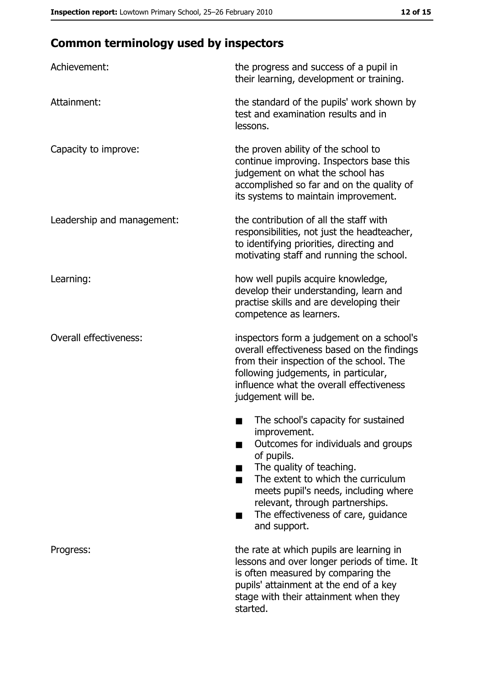# **Common terminology used by inspectors**

| Achievement:                  | the progress and success of a pupil in<br>their learning, development or training.                                                                                                                                                                                                                           |
|-------------------------------|--------------------------------------------------------------------------------------------------------------------------------------------------------------------------------------------------------------------------------------------------------------------------------------------------------------|
| Attainment:                   | the standard of the pupils' work shown by<br>test and examination results and in<br>lessons.                                                                                                                                                                                                                 |
| Capacity to improve:          | the proven ability of the school to<br>continue improving. Inspectors base this<br>judgement on what the school has<br>accomplished so far and on the quality of<br>its systems to maintain improvement.                                                                                                     |
| Leadership and management:    | the contribution of all the staff with<br>responsibilities, not just the headteacher,<br>to identifying priorities, directing and<br>motivating staff and running the school.                                                                                                                                |
| Learning:                     | how well pupils acquire knowledge,<br>develop their understanding, learn and<br>practise skills and are developing their<br>competence as learners.                                                                                                                                                          |
| <b>Overall effectiveness:</b> | inspectors form a judgement on a school's<br>overall effectiveness based on the findings<br>from their inspection of the school. The<br>following judgements, in particular,<br>influence what the overall effectiveness<br>judgement will be.                                                               |
|                               | The school's capacity for sustained<br>improvement.<br>Outcomes for individuals and groups<br>of pupils.<br>The quality of teaching.<br>The extent to which the curriculum<br>meets pupil's needs, including where<br>relevant, through partnerships.<br>The effectiveness of care, guidance<br>and support. |
| Progress:                     | the rate at which pupils are learning in<br>lessons and over longer periods of time. It<br>is often measured by comparing the<br>pupils' attainment at the end of a key<br>stage with their attainment when they<br>started.                                                                                 |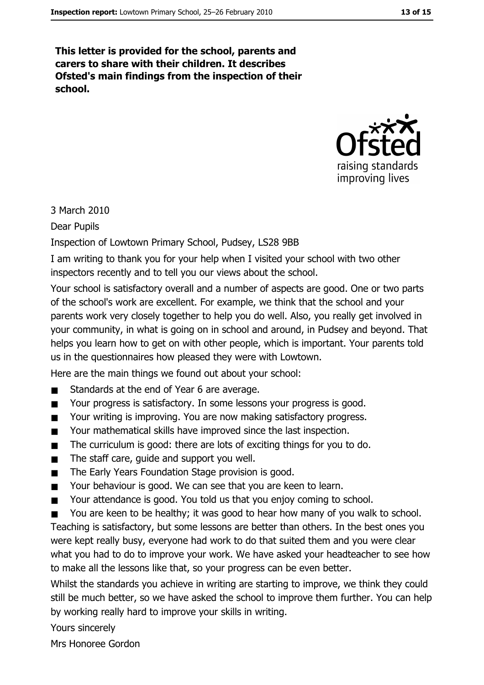This letter is provided for the school, parents and carers to share with their children. It describes Ofsted's main findings from the inspection of their school.



3 March 2010

**Dear Pupils** 

Inspection of Lowtown Primary School, Pudsey, LS28 9BB

I am writing to thank you for your help when I visited your school with two other inspectors recently and to tell you our views about the school.

Your school is satisfactory overall and a number of aspects are good. One or two parts of the school's work are excellent. For example, we think that the school and your parents work very closely together to help you do well. Also, you really get involved in your community, in what is going on in school and around, in Pudsey and beyond. That helps you learn how to get on with other people, which is important. Your parents told us in the questionnaires how pleased they were with Lowtown.

Here are the main things we found out about your school:

- Standards at the end of Year 6 are average.  $\blacksquare$
- Your progress is satisfactory. In some lessons your progress is good.  $\blacksquare$
- Your writing is improving. You are now making satisfactory progress.  $\blacksquare$
- Your mathematical skills have improved since the last inspection.  $\blacksquare$
- The curriculum is good: there are lots of exciting things for you to do.  $\blacksquare$
- The staff care, quide and support you well.  $\blacksquare$
- The Early Years Foundation Stage provision is good.  $\blacksquare$
- Your behaviour is good. We can see that you are keen to learn.  $\blacksquare$
- Your attendance is good. You told us that you enjoy coming to school.  $\blacksquare$
- You are keen to be healthy; it was good to hear how many of you walk to school.  $\blacksquare$

Teaching is satisfactory, but some lessons are better than others. In the best ones you were kept really busy, everyone had work to do that suited them and you were clear what you had to do to improve your work. We have asked your headteacher to see how to make all the lessons like that, so your progress can be even better.

Whilst the standards you achieve in writing are starting to improve, we think they could still be much better, so we have asked the school to improve them further. You can help by working really hard to improve your skills in writing.

Yours sincerely

Mrs Honoree Gordon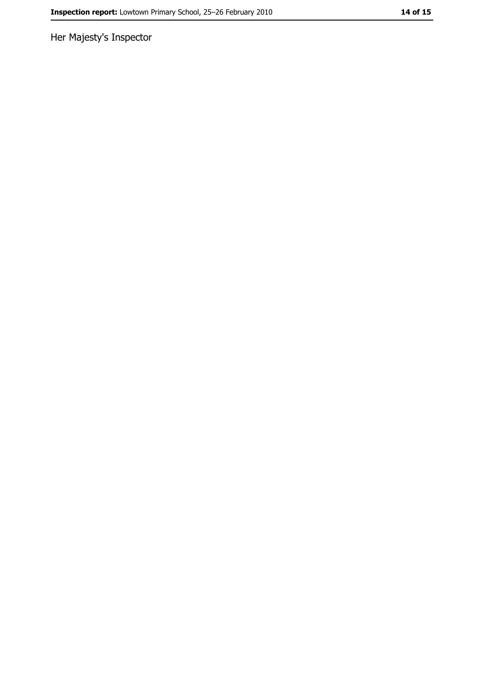Her Majesty's Inspector